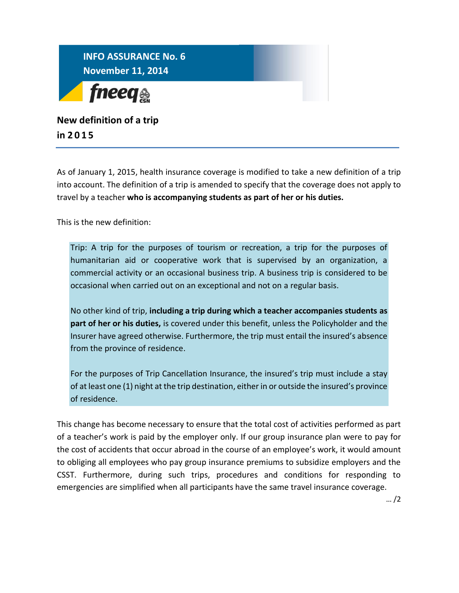

## **New definition of a trip in 201 5**

As of January 1, 2015, health insurance coverage is modified to take a new definition of a trip into account. The definition of a trip is amended to specify that the coverage does not apply to travel by a teacher **who is accompanying students as part of her or his duties.**

This is the new definition:

Trip: A trip for the purposes of tourism or recreation, a trip for the purposes of humanitarian aid or cooperative work that is supervised by an organization, a commercial activity or an occasional business trip. A business trip is considered to be occasional when carried out on an exceptional and not on a regular basis.

No other kind of trip, **including a trip during which a teacher accompanies students as part of her or his duties,** is covered under this benefit, unless the Policyholder and the Insurer have agreed otherwise. Furthermore, the trip must entail the insured's absence from the province of residence.

For the purposes of Trip Cancellation Insurance, the insured's trip must include a stay of at least one (1) night at the trip destination, either in or outside the insured's province of residence.

This change has become necessary to ensure that the total cost of activities performed as part of a teacher's work is paid by the employer only. If our group insurance plan were to pay for the cost of accidents that occur abroad in the course of an employee's work, it would amount to obliging all employees who pay group insurance premiums to subsidize employers and the CSST. Furthermore, during such trips, procedures and conditions for responding to emergencies are simplified when all participants have the same travel insurance coverage.

… /2